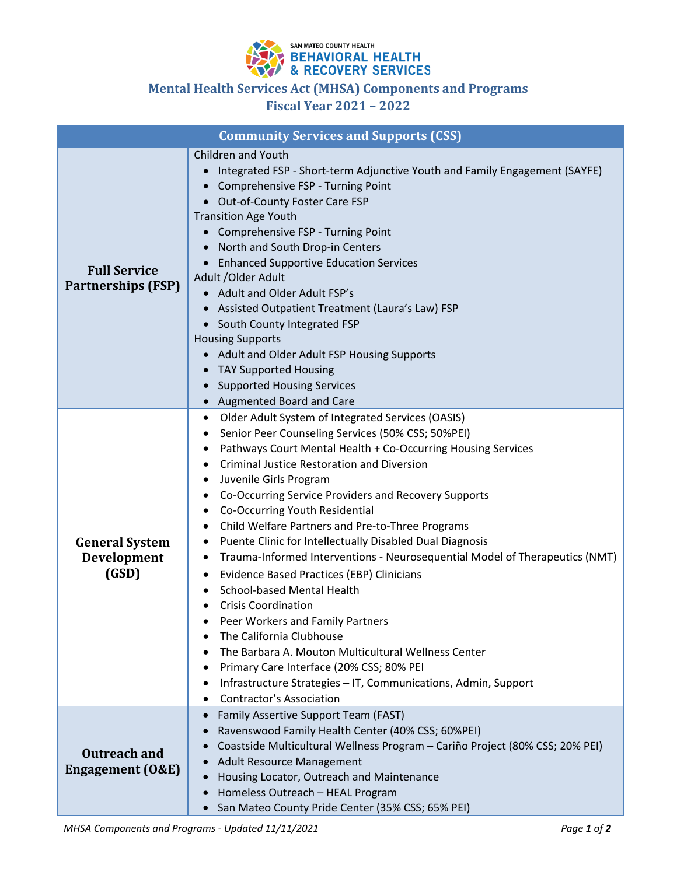

## **Mental Health Services Act (MHSA) Components and Programs**

**Fiscal Year 2021 – 2022**

| <b>Community Services and Supports (CSS)</b>       |                                                                                                                                                                                                                                                                                                                                                                                                                                                                                                                                                                                                                                                                                                                                                                                                                                                                                                                                                                                     |  |
|----------------------------------------------------|-------------------------------------------------------------------------------------------------------------------------------------------------------------------------------------------------------------------------------------------------------------------------------------------------------------------------------------------------------------------------------------------------------------------------------------------------------------------------------------------------------------------------------------------------------------------------------------------------------------------------------------------------------------------------------------------------------------------------------------------------------------------------------------------------------------------------------------------------------------------------------------------------------------------------------------------------------------------------------------|--|
| <b>Full Service</b><br><b>Partnerships (FSP)</b>   | Children and Youth<br>Integrated FSP - Short-term Adjunctive Youth and Family Engagement (SAYFE)<br>Comprehensive FSP - Turning Point<br>• Out-of-County Foster Care FSP<br><b>Transition Age Youth</b><br>Comprehensive FSP - Turning Point<br>$\bullet$<br>North and South Drop-in Centers<br><b>Enhanced Supportive Education Services</b><br>$\bullet$<br>Adult / Older Adult<br>• Adult and Older Adult FSP's<br>Assisted Outpatient Treatment (Laura's Law) FSP<br>$\bullet$<br>South County Integrated FSP<br><b>Housing Supports</b><br>Adult and Older Adult FSP Housing Supports<br>$\bullet$<br><b>TAY Supported Housing</b><br>$\bullet$<br><b>Supported Housing Services</b><br>$\bullet$<br>Augmented Board and Care<br>$\bullet$                                                                                                                                                                                                                                     |  |
| <b>General System</b><br>Development<br>(GSD)      | Older Adult System of Integrated Services (OASIS)<br>٠<br>Senior Peer Counseling Services (50% CSS; 50%PEI)<br>Pathways Court Mental Health + Co-Occurring Housing Services<br><b>Criminal Justice Restoration and Diversion</b><br>Juvenile Girls Program<br>٠<br>Co-Occurring Service Providers and Recovery Supports<br>٠<br>Co-Occurring Youth Residential<br>٠<br>Child Welfare Partners and Pre-to-Three Programs<br>٠<br>Puente Clinic for Intellectually Disabled Dual Diagnosis<br>٠<br>Trauma-Informed Interventions - Neurosequential Model of Therapeutics (NMT)<br>٠<br><b>Evidence Based Practices (EBP) Clinicians</b><br>٠<br>School-based Mental Health<br>٠<br><b>Crisis Coordination</b><br>Peer Workers and Family Partners<br>The California Clubhouse<br>The Barbara A. Mouton Multicultural Wellness Center<br>Primary Care Interface (20% CSS; 80% PEI<br>Infrastructure Strategies - IT, Communications, Admin, Support<br><b>Contractor's Association</b> |  |
| <b>Outreach and</b><br><b>Engagement (O&amp;E)</b> | Family Assertive Support Team (FAST)<br>$\bullet$<br>Ravenswood Family Health Center (40% CSS; 60%PEI)<br>$\bullet$<br>Coastside Multicultural Wellness Program - Cariño Project (80% CSS; 20% PEI)<br>$\bullet$<br><b>Adult Resource Management</b><br>Housing Locator, Outreach and Maintenance<br>$\bullet$<br>Homeless Outreach - HEAL Program<br>San Mateo County Pride Center (35% CSS; 65% PEI)<br>$\bullet$                                                                                                                                                                                                                                                                                                                                                                                                                                                                                                                                                                 |  |